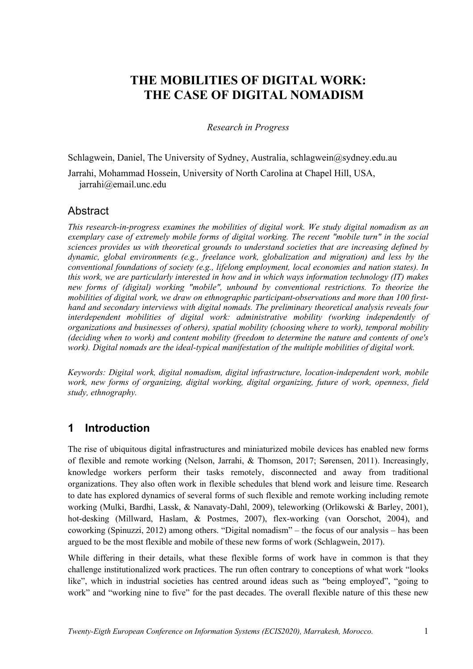# **THE MOBILITIES OF DIGITAL WORK: THE CASE OF DIGITAL NOMADISM**

*Research in Progress*

Schlagwein, Daniel, The University of Sydney, Australia, schlagwein@sydney.edu.au Jarrahi, Mohammad Hossein, University of North Carolina at Chapel Hill, USA, jarrahi@email.unc.edu

#### Abstract

*This research-in-progress examines the mobilities of digital work. We study digital nomadism as an exemplary case of extremely mobile forms of digital working. The recent "mobile turn" in the social sciences provides us with theoretical grounds to understand societies that are increasing defined by dynamic, global environments (e.g., freelance work, globalization and migration) and less by the conventional foundations of society (e.g., lifelong employment, local economies and nation states). In this work, we are particularly interested in how and in which ways information technology (IT) makes new forms of (digital) working "mobile", unbound by conventional restrictions. To theorize the mobilities of digital work, we draw on ethnographic participant-observations and more than 100 firsthand and secondary interviews with digital nomads. The preliminary theoretical analysis reveals four interdependent mobilities of digital work: administrative mobility (working independently of organizations and businesses of others), spatial mobility (choosing where to work), temporal mobility (deciding when to work) and content mobility (freedom to determine the nature and contents of one's work). Digital nomads are the ideal-typical manifestation of the multiple mobilities of digital work.*

*Keywords: Digital work, digital nomadism, digital infrastructure, location-independent work, mobile work, new forms of organizing, digital working, digital organizing, future of work, openness, field study, ethnography.*

## **1 Introduction**

The rise of ubiquitous digital infrastructures and miniaturized mobile devices has enabled new forms of flexible and remote working (Nelson, Jarrahi, & Thomson, 2017; Sørensen, 2011). Increasingly, knowledge workers perform their tasks remotely, disconnected and away from traditional organizations. They also often work in flexible schedules that blend work and leisure time. Research to date has explored dynamics of several forms of such flexible and remote working including remote working (Mulki, Bardhi, Lassk, & Nanavaty-Dahl, 2009), teleworking (Orlikowski & Barley, 2001), hot-desking (Millward, Haslam, & Postmes, 2007), flex-working (van Oorschot, 2004), and coworking (Spinuzzi, 2012) among others. "Digital nomadism" – the focus of our analysis – has been argued to be the most flexible and mobile of these new forms of work (Schlagwein, 2017).

While differing in their details, what these flexible forms of work have in common is that they challenge institutionalized work practices. The run often contrary to conceptions of what work "looks like", which in industrial societies has centred around ideas such as "being employed", "going to work" and "working nine to five" for the past decades. The overall flexible nature of this these new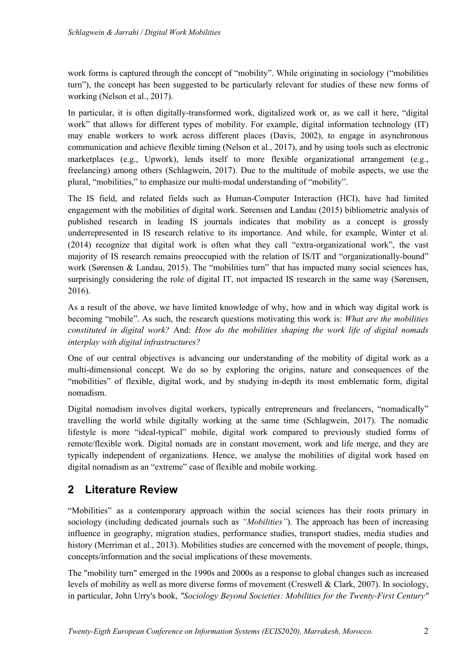work forms is captured through the concept of "mobility". While originating in sociology ("mobilities turn"), the concept has been suggested to be particularly relevant for studies of these new forms of working (Nelson et al., 2017).

In particular, it is often digitally-transformed work, digitalized work or, as we call it here, "digital work" that allows for different types of mobility. For example, digital information technology (IT) may enable workers to work across different places (Davis, 2002), to engage in asynchronous communication and achieve flexible timing (Nelson et al., 2017), and by using tools such as electronic marketplaces (e.g., Upwork), lends itself to more flexible organizational arrangement (e.g., freelancing) among others (Schlagwein, 2017). Due to the multitude of mobile aspects, we use the plural, "mobilities," to emphasize our multi-modal understanding of "mobility".

The IS field, and related fields such as Human-Computer Interaction (HCI), have had limited engagement with the mobilities of digital work. Sørensen and Landau (2015) bibliometric analysis of published research in leading IS journals indicates that mobility as a concept is grossly underrepresented in IS research relative to its importance. And while, for example, Winter et al. (2014) recognize that digital work is often what they call "extra-organizational work", the vast majority of IS research remains preoccupied with the relation of IS/IT and "organizationally-bound" work (Sørensen & Landau, 2015). The "mobilities turn" that has impacted many social sciences has, surprisingly considering the role of digital IT, not impacted IS research in the same way (Sørensen, 2016).

As a result of the above, we have limited knowledge of why, how and in which way digital work is becoming "mobile". As such, the research questions motivating this work is: *What are the mobilities constituted in digital work?* And: *How do the mobilities shaping the work life of digital nomads interplay with digital infrastructures?*

One of our central objectives is advancing our understanding of the mobility of digital work as a multi-dimensional concept. We do so by exploring the origins, nature and consequences of the "mobilities" of flexible, digital work, and by studying in-depth its most emblematic form, digital nomadism.

Digital nomadism involves digital workers, typically entrepreneurs and freelancers, "nomadically" travelling the world while digitally working at the same time (Schlagwein, 2017). The nomadic lifestyle is more "ideal-typical" mobile, digital work compared to previously studied forms of remote/flexible work. Digital nomads are in constant movement, work and life merge, and they are typically independent of organizations. Hence, we analyse the mobilities of digital work based on digital nomadism as an "extreme" case of flexible and mobile working.

## **2 Literature Review**

"Mobilities" as a contemporary approach within the social sciences has their roots primary in sociology (including dedicated journals such as *"Mobilities"*). The approach has been of increasing influence in geography, migration studies, performance studies, transport studies, media studies and history (Merriman et al., 2013). Mobilities studies are concerned with the movement of people, things, concepts/information and the social implications of these movements.

The "mobility turn" emerged in the 1990s and 2000s as a response to global changes such as increased levels of mobility as well as more diverse forms of movement (Creswell & Clark, 2007). In sociology, in particular, John Urry's book, *"Sociology Beyond Societies: Mobilities for the Twenty-First Century"*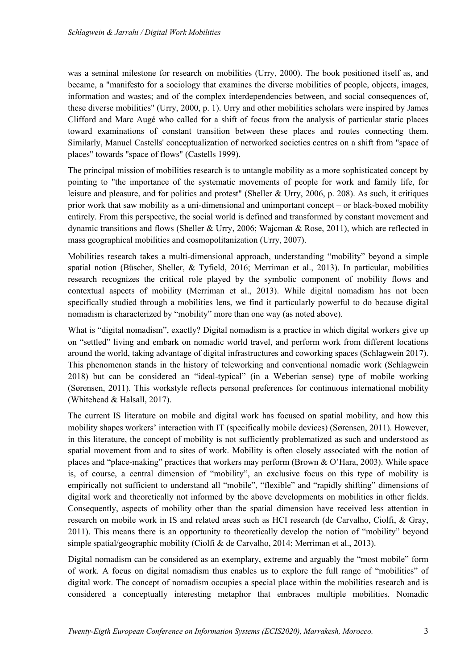was a seminal milestone for research on mobilities (Urry, 2000). The book positioned itself as, and became, a "manifesto for a sociology that examines the diverse mobilities of people, objects, images, information and wastes; and of the complex interdependencies between, and social consequences of, these diverse mobilities" (Urry, 2000, p. 1). Urry and other mobilities scholars were inspired by James Clifford and Marc Augé who called for a shift of focus from the analysis of particular static places toward examinations of constant transition between these places and routes connecting them. Similarly, Manuel Castells' conceptualization of networked societies centres on a shift from "space of places" towards "space of flows" (Castells 1999).

The principal mission of mobilities research is to untangle mobility as a more sophisticated concept by pointing to "the importance of the systematic movements of people for work and family life, for leisure and pleasure, and for politics and protest" (Sheller & Urry, 2006, p. 208). As such, it critiques prior work that saw mobility as a uni-dimensional and unimportant concept – or black-boxed mobility entirely. From this perspective, the social world is defined and transformed by constant movement and dynamic transitions and flows (Sheller & Urry, 2006; Wajcman & Rose, 2011), which are reflected in mass geographical mobilities and cosmopolitanization (Urry, 2007).

Mobilities research takes a multi-dimensional approach, understanding "mobility" beyond a simple spatial notion (Büscher, Sheller, & Tyfield, 2016; Merriman et al., 2013). In particular, mobilities research recognizes the critical role played by the symbolic component of mobility flows and contextual aspects of mobility (Merriman et al., 2013). While digital nomadism has not been specifically studied through a mobilities lens, we find it particularly powerful to do because digital nomadism is characterized by "mobility" more than one way (as noted above).

What is "digital nomadism", exactly? Digital nomadism is a practice in which digital workers give up on "settled" living and embark on nomadic world travel, and perform work from different locations around the world, taking advantage of digital infrastructures and coworking spaces (Schlagwein 2017). This phenomenon stands in the history of teleworking and conventional nomadic work (Schlagwein 2018) but can be considered an "ideal-typical" (in a Weberian sense) type of mobile working (Sørensen, 2011). This workstyle reflects personal preferences for continuous international mobility (Whitehead & Halsall, 2017).

The current IS literature on mobile and digital work has focused on spatial mobility, and how this mobility shapes workers' interaction with IT (specifically mobile devices) (Sørensen, 2011). However, in this literature, the concept of mobility is not sufficiently problematized as such and understood as spatial movement from and to sites of work. Mobility is often closely associated with the notion of places and "place-making" practices that workers may perform (Brown & O'Hara, 2003). While space is, of course, a central dimension of "mobility", an exclusive focus on this type of mobility is empirically not sufficient to understand all "mobile", "flexible" and "rapidly shifting" dimensions of digital work and theoretically not informed by the above developments on mobilities in other fields. Consequently, aspects of mobility other than the spatial dimension have received less attention in research on mobile work in IS and related areas such as HCI research (de Carvalho, Ciolfi, & Gray, 2011). This means there is an opportunity to theoretically develop the notion of "mobility" beyond simple spatial/geographic mobility (Ciolfi & de Carvalho, 2014; Merriman et al., 2013).

Digital nomadism can be considered as an exemplary, extreme and arguably the "most mobile" form of work. A focus on digital nomadism thus enables us to explore the full range of "mobilities" of digital work. The concept of nomadism occupies a special place within the mobilities research and is considered a conceptually interesting metaphor that embraces multiple mobilities. Nomadic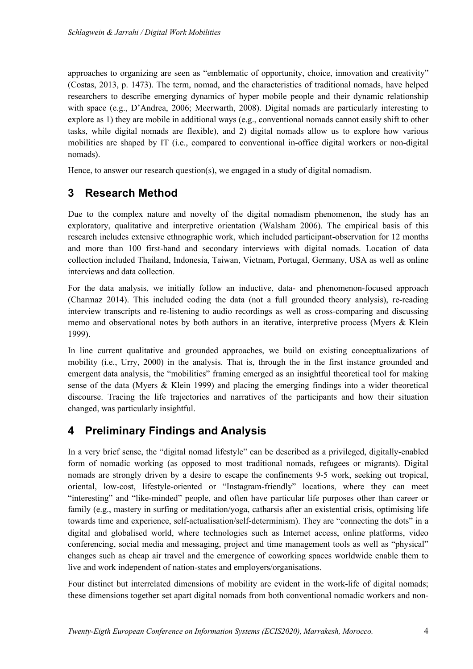approaches to organizing are seen as "emblematic of opportunity, choice, innovation and creativity" (Costas, 2013, p. 1473). The term, nomad, and the characteristics of traditional nomads, have helped researchers to describe emerging dynamics of hyper mobile people and their dynamic relationship with space (e.g., D'Andrea, 2006; Meerwarth, 2008). Digital nomads are particularly interesting to explore as 1) they are mobile in additional ways (e.g., conventional nomads cannot easily shift to other tasks, while digital nomads are flexible), and 2) digital nomads allow us to explore how various mobilities are shaped by IT (i.e., compared to conventional in-office digital workers or non-digital nomads).

Hence, to answer our research question(s), we engaged in a study of digital nomadism.

## **3 Research Method**

Due to the complex nature and novelty of the digital nomadism phenomenon, the study has an exploratory, qualitative and interpretive orientation (Walsham 2006). The empirical basis of this research includes extensive ethnographic work, which included participant-observation for 12 months and more than 100 first-hand and secondary interviews with digital nomads. Location of data collection included Thailand, Indonesia, Taiwan, Vietnam, Portugal, Germany, USA as well as online interviews and data collection.

For the data analysis, we initially follow an inductive, data- and phenomenon-focused approach (Charmaz 2014). This included coding the data (not a full grounded theory analysis), re-reading interview transcripts and re-listening to audio recordings as well as cross-comparing and discussing memo and observational notes by both authors in an iterative, interpretive process (Myers & Klein 1999).

In line current qualitative and grounded approaches, we build on existing conceptualizations of mobility (i.e., Urry, 2000) in the analysis. That is, through the in the first instance grounded and emergent data analysis, the "mobilities" framing emerged as an insightful theoretical tool for making sense of the data (Myers & Klein 1999) and placing the emerging findings into a wider theoretical discourse. Tracing the life trajectories and narratives of the participants and how their situation changed, was particularly insightful.

## **4 Preliminary Findings and Analysis**

In a very brief sense, the "digital nomad lifestyle" can be described as a privileged, digitally-enabled form of nomadic working (as opposed to most traditional nomads, refugees or migrants). Digital nomads are strongly driven by a desire to escape the confinements 9-5 work, seeking out tropical, oriental, low-cost, lifestyle-oriented or "Instagram-friendly" locations, where they can meet "interesting" and "like-minded" people, and often have particular life purposes other than career or family (e.g., mastery in surfing or meditation/yoga, catharsis after an existential crisis, optimising life towards time and experience, self-actualisation/self-determinism). They are "connecting the dots" in a digital and globalised world, where technologies such as Internet access, online platforms, video conferencing, social media and messaging, project and time management tools as well as "physical" changes such as cheap air travel and the emergence of coworking spaces worldwide enable them to live and work independent of nation-states and employers/organisations.

Four distinct but interrelated dimensions of mobility are evident in the work-life of digital nomads; these dimensions together set apart digital nomads from both conventional nomadic workers and non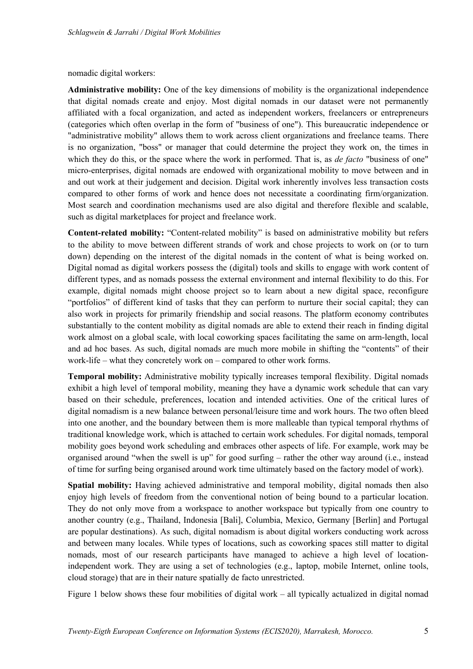nomadic digital workers:

**Administrative mobility:** One of the key dimensions of mobility is the organizational independence that digital nomads create and enjoy. Most digital nomads in our dataset were not permanently affiliated with a focal organization, and acted as independent workers, freelancers or entrepreneurs (categories which often overlap in the form of "business of one"). This bureaucratic independence or "administrative mobility" allows them to work across client organizations and freelance teams. There is no organization, "boss" or manager that could determine the project they work on, the times in which they do this, or the space where the work in performed. That is, as *de facto* "business of one" micro-enterprises, digital nomads are endowed with organizational mobility to move between and in and out work at their judgement and decision. Digital work inherently involves less transaction costs compared to other forms of work and hence does not necessitate a coordinating firm/organization. Most search and coordination mechanisms used are also digital and therefore flexible and scalable, such as digital marketplaces for project and freelance work.

**Content-related mobility:** "Content-related mobility" is based on administrative mobility but refers to the ability to move between different strands of work and chose projects to work on (or to turn down) depending on the interest of the digital nomads in the content of what is being worked on. Digital nomad as digital workers possess the (digital) tools and skills to engage with work content of different types, and as nomads possess the external environment and internal flexibility to do this. For example, digital nomads might choose project so to learn about a new digital space, reconfigure "portfolios" of different kind of tasks that they can perform to nurture their social capital; they can also work in projects for primarily friendship and social reasons. The platform economy contributes substantially to the content mobility as digital nomads are able to extend their reach in finding digital work almost on a global scale, with local coworking spaces facilitating the same on arm-length, local and ad hoc bases. As such, digital nomads are much more mobile in shifting the "contents" of their work-life – what they concretely work on – compared to other work forms.

**Temporal mobility:** Administrative mobility typically increases temporal flexibility. Digital nomads exhibit a high level of temporal mobility, meaning they have a dynamic work schedule that can vary based on their schedule, preferences, location and intended activities. One of the critical lures of digital nomadism is a new balance between personal/leisure time and work hours. The two often bleed into one another, and the boundary between them is more malleable than typical temporal rhythms of traditional knowledge work, which is attached to certain work schedules. For digital nomads, temporal mobility goes beyond work scheduling and embraces other aspects of life. For example, work may be organised around "when the swell is up" for good surfing – rather the other way around (i.e., instead of time for surfing being organised around work time ultimately based on the factory model of work).

**Spatial mobility:** Having achieved administrative and temporal mobility, digital nomads then also enjoy high levels of freedom from the conventional notion of being bound to a particular location. They do not only move from a workspace to another workspace but typically from one country to another country (e.g., Thailand, Indonesia [Bali], Columbia, Mexico, Germany [Berlin] and Portugal are popular destinations). As such, digital nomadism is about digital workers conducting work across and between many locales. While types of locations, such as coworking spaces still matter to digital nomads, most of our research participants have managed to achieve a high level of locationindependent work. They are using a set of technologies (e.g., laptop, mobile Internet, online tools, cloud storage) that are in their nature spatially de facto unrestricted.

Figure 1 below shows these four mobilities of digital work – all typically actualized in digital nomad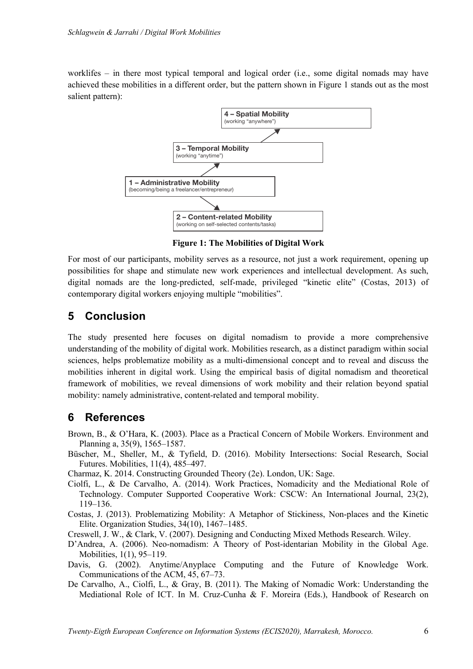worklifes – in there most typical temporal and logical order (i.e., some digital nomads may have achieved these mobilities in a different order, but the pattern shown in Figure 1 stands out as the most salient pattern):



**Figure 1: The Mobilities of Digital Work**

For most of our participants, mobility serves as a resource, not just a work requirement, opening up possibilities for shape and stimulate new work experiences and intellectual development. As such, digital nomads are the long-predicted, self-made, privileged "kinetic elite" (Costas, 2013) of contemporary digital workers enjoying multiple "mobilities".

#### **5 Conclusion**

The study presented here focuses on digital nomadism to provide a more comprehensive understanding of the mobility of digital work. Mobilities research, as a distinct paradigm within social sciences, helps problematize mobility as a multi-dimensional concept and to reveal and discuss the mobilities inherent in digital work. Using the empirical basis of digital nomadism and theoretical framework of mobilities, we reveal dimensions of work mobility and their relation beyond spatial mobility: namely administrative, content-related and temporal mobility.

## **6 References**

- Brown, B., & O'Hara, K. (2003). Place as a Practical Concern of Mobile Workers. Environment and Planning a, 35(9), 1565–1587.
- Büscher, M., Sheller, M., & Tyfield, D. (2016). Mobility Intersections: Social Research, Social Futures. Mobilities, 11(4), 485–497.

Charmaz, K. 2014. Constructing Grounded Theory (2e). London, UK: Sage.

- Ciolfi, L., & De Carvalho, A. (2014). Work Practices, Nomadicity and the Mediational Role of Technology. Computer Supported Cooperative Work: CSCW: An International Journal, 23(2), 119–136.
- Costas, J. (2013). Problematizing Mobility: A Metaphor of Stickiness, Non-places and the Kinetic Elite. Organization Studies, 34(10), 1467–1485.

Creswell, J. W., & Clark, V. (2007). Designing and Conducting Mixed Methods Research. Wiley.

- D'Andrea, A. (2006). Neo-nomadism: A Theory of Post-identarian Mobility in the Global Age. Mobilities, 1(1), 95–119.
- Davis, G. (2002). Anytime/Anyplace Computing and the Future of Knowledge Work. Communications of the ACM, 45, 67–73.
- De Carvalho, A., Ciolfi, L., & Gray, B. (2011). The Making of Nomadic Work: Understanding the Mediational Role of ICT. In M. Cruz-Cunha & F. Moreira (Eds.), Handbook of Research on